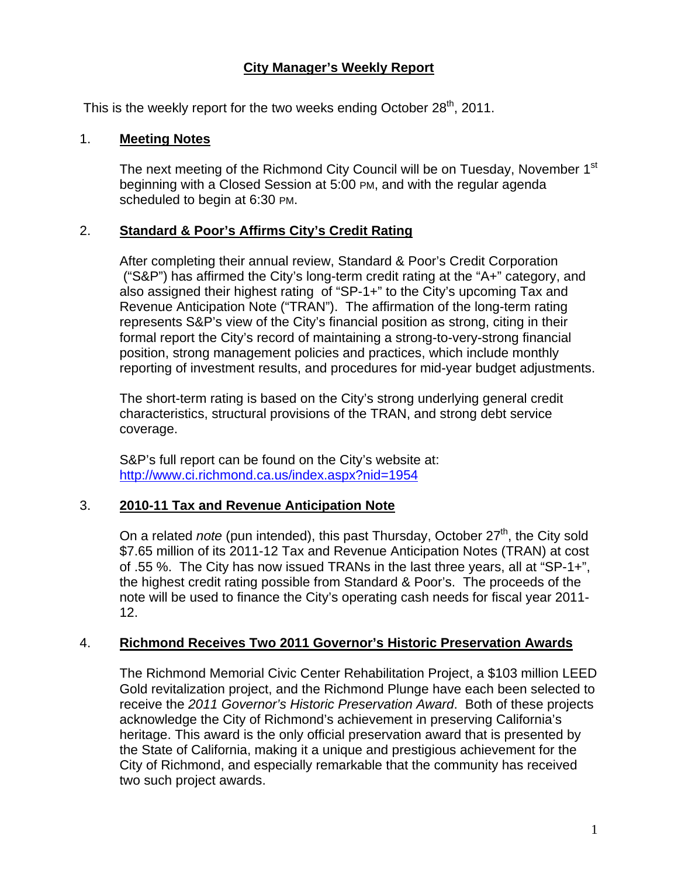# **City Manager's Weekly Report**

This is the weekly report for the two weeks ending October  $28<sup>th</sup>$ , 2011.

## 1. **Meeting Notes**

The next meeting of the Richmond City Council will be on Tuesday, November 1<sup>st</sup> beginning with a Closed Session at 5:00 PM, and with the regular agenda scheduled to begin at 6:30 PM.

# 2. **Standard & Poor's Affirms City's Credit Rating**

After completing their annual review, Standard & Poor's Credit Corporation ("S&P") has affirmed the City's long-term credit rating at the "A+" category, and also assigned their highest rating of "SP-1+" to the City's upcoming Tax and Revenue Anticipation Note ("TRAN"). The affirmation of the long-term rating represents S&P's view of the City's financial position as strong, citing in their formal report the City's record of maintaining a strong-to-very-strong financial position, strong management policies and practices, which include monthly reporting of investment results, and procedures for mid-year budget adjustments.

The short-term rating is based on the City's strong underlying general credit characteristics, structural provisions of the TRAN, and strong debt service coverage.

S&P's full report can be found on the City's website at: http://www.ci.richmond.ca.us/index.aspx?nid=1954

# 3. **2010-11 Tax and Revenue Anticipation Note**

On a related *note* (pun intended), this past Thursday, October 27<sup>th</sup>, the City sold \$7.65 million of its 2011-12 Tax and Revenue Anticipation Notes (TRAN) at cost of .55 %. The City has now issued TRANs in the last three years, all at "SP-1+", the highest credit rating possible from Standard & Poor's. The proceeds of the note will be used to finance the City's operating cash needs for fiscal year 2011- 12.

## 4. **Richmond Receives Two 2011 Governor's Historic Preservation Awards**

The Richmond Memorial Civic Center Rehabilitation Project, a \$103 million LEED Gold revitalization project, and the Richmond Plunge have each been selected to receive the *2011 Governor's Historic Preservation Award*. Both of these projects acknowledge the City of Richmond's achievement in preserving California's heritage. This award is the only official preservation award that is presented by the State of California, making it a unique and prestigious achievement for the City of Richmond, and especially remarkable that the community has received two such project awards.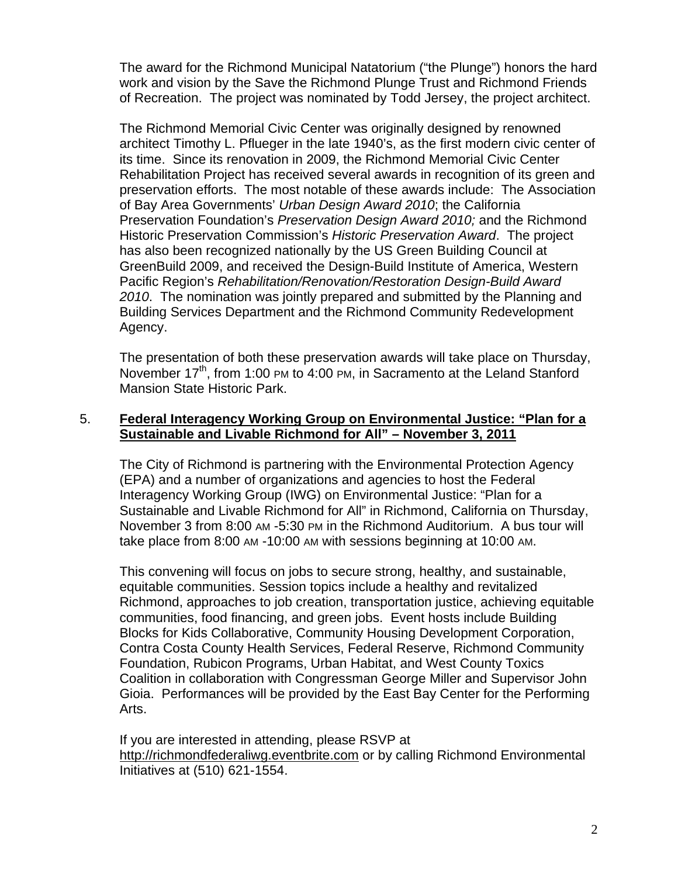The award for the Richmond Municipal Natatorium ("the Plunge") honors the hard work and vision by the Save the Richmond Plunge Trust and Richmond Friends of Recreation. The project was nominated by Todd Jersey, the project architect.

The Richmond Memorial Civic Center was originally designed by renowned architect Timothy L. Pflueger in the late 1940's, as the first modern civic center of its time. Since its renovation in 2009, the Richmond Memorial Civic Center Rehabilitation Project has received several awards in recognition of its green and preservation efforts. The most notable of these awards include: The Association of Bay Area Governments' *Urban Design Award 2010*; the California Preservation Foundation's *Preservation Design Award 2010;* and the Richmond Historic Preservation Commission's *Historic Preservation Award*. The project has also been recognized nationally by the US Green Building Council at GreenBuild 2009, and received the Design-Build Institute of America, Western Pacific Region's *Rehabilitation/Renovation/Restoration Design-Build Award 2010*. The nomination was jointly prepared and submitted by the Planning and Building Services Department and the Richmond Community Redevelopment Agency.

The presentation of both these preservation awards will take place on Thursday, November 17<sup>th</sup>, from 1:00 PM to 4:00 PM, in Sacramento at the Leland Stanford Mansion State Historic Park.

## 5. **Federal Interagency Working Group on Environmental Justice: "Plan for a Sustainable and Livable Richmond for All" – November 3, 2011**

The City of Richmond is partnering with the Environmental Protection Agency (EPA) and a number of organizations and agencies to host the Federal Interagency Working Group (IWG) on Environmental Justice: "Plan for a Sustainable and Livable Richmond for All" in Richmond, California on Thursday, November 3 from 8:00 AM -5:30 PM in the Richmond Auditorium. A bus tour will take place from 8:00 AM -10:00 AM with sessions beginning at 10:00 AM.

This convening will focus on jobs to secure strong, healthy, and sustainable, equitable communities. Session topics include a healthy and revitalized Richmond, approaches to job creation, transportation justice, achieving equitable communities, food financing, and green jobs. Event hosts include Building Blocks for Kids Collaborative, Community Housing Development Corporation, Contra Costa County Health Services, Federal Reserve, Richmond Community Foundation, Rubicon Programs, Urban Habitat, and West County Toxics Coalition in collaboration with Congressman George Miller and Supervisor John Gioia. Performances will be provided by the East Bay Center for the Performing Arts.

If you are interested in attending, please RSVP at http://richmondfederaliwg.eventbrite.com or by calling Richmond Environmental Initiatives at (510) 621-1554.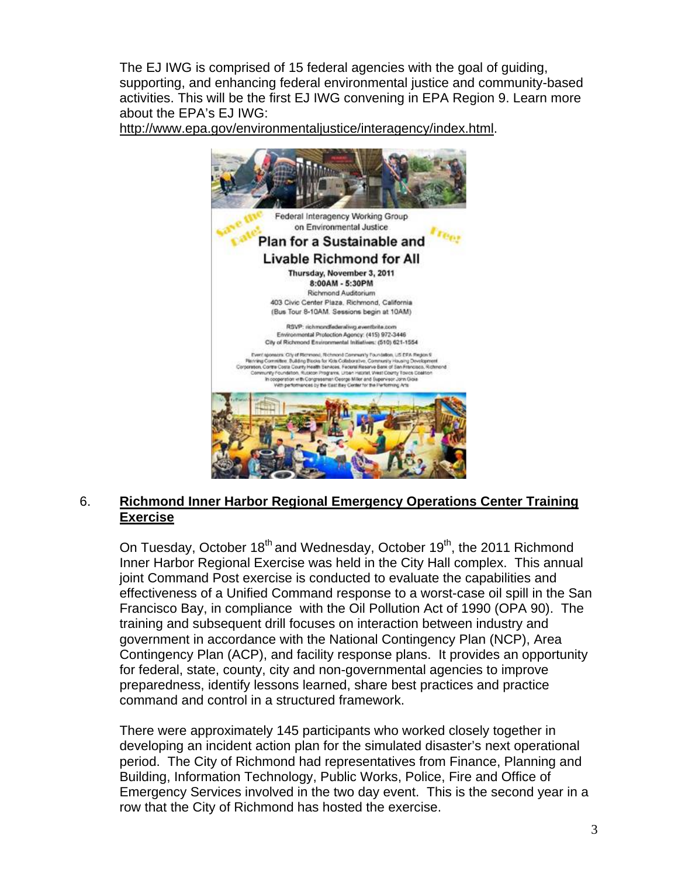The EJ IWG is comprised of 15 federal agencies with the goal of guiding, supporting, and enhancing federal environmental justice and community-based activities. This will be the first EJ IWG convening in EPA Region 9. Learn more about the EPA's EJ IWG:

http://www.epa.gov/environmentaljustice/interagency/index.html.



# 6. **Richmond Inner Harbor Regional Emergency Operations Center Training Exercise**

On Tuesday, October 18<sup>th</sup> and Wednesday, October 19<sup>th</sup>, the 2011 Richmond Inner Harbor Regional Exercise was held in the City Hall complex. This annual joint Command Post exercise is conducted to evaluate the capabilities and effectiveness of a Unified Command response to a worst-case oil spill in the San Francisco Bay, in compliance with the Oil Pollution Act of 1990 (OPA 90). The training and subsequent drill focuses on interaction between industry and government in accordance with the National Contingency Plan (NCP), Area Contingency Plan (ACP), and facility response plans. It provides an opportunity for federal, state, county, city and non-governmental agencies to improve preparedness, identify lessons learned, share best practices and practice command and control in a structured framework.

There were approximately 145 participants who worked closely together in developing an incident action plan for the simulated disaster's next operational period. The City of Richmond had representatives from Finance, Planning and Building, Information Technology, Public Works, Police, Fire and Office of Emergency Services involved in the two day event. This is the second year in a row that the City of Richmond has hosted the exercise.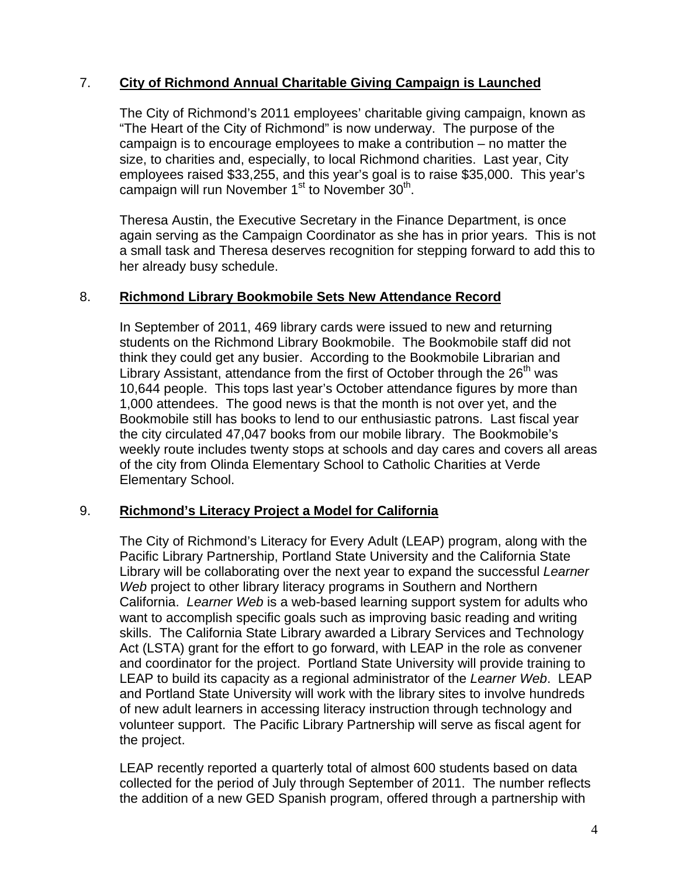# 7. **City of Richmond Annual Charitable Giving Campaign is Launched**

The City of Richmond's 2011 employees' charitable giving campaign, known as "The Heart of the City of Richmond" is now underway. The purpose of the campaign is to encourage employees to make a contribution – no matter the size, to charities and, especially, to local Richmond charities. Last year, City employees raised \$33,255, and this year's goal is to raise \$35,000. This year's campaign will run November  $1<sup>st</sup>$  to November  $30<sup>th</sup>$ .

Theresa Austin, the Executive Secretary in the Finance Department, is once again serving as the Campaign Coordinator as she has in prior years. This is not a small task and Theresa deserves recognition for stepping forward to add this to her already busy schedule.

## 8. **Richmond Library Bookmobile Sets New Attendance Record**

In September of 2011, 469 library cards were issued to new and returning students on the Richmond Library Bookmobile. The Bookmobile staff did not think they could get any busier. According to the Bookmobile Librarian and Library Assistant, attendance from the first of October through the  $26<sup>th</sup>$  was 10,644 people. This tops last year's October attendance figures by more than 1,000 attendees. The good news is that the month is not over yet, and the Bookmobile still has books to lend to our enthusiastic patrons. Last fiscal year the city circulated 47,047 books from our mobile library. The Bookmobile's weekly route includes twenty stops at schools and day cares and covers all areas of the city from Olinda Elementary School to Catholic Charities at Verde Elementary School.

## 9. **Richmond's Literacy Project a Model for California**

The City of Richmond's Literacy for Every Adult (LEAP) program, along with the Pacific Library Partnership, Portland State University and the California State Library will be collaborating over the next year to expand the successful *Learner Web* project to other library literacy programs in Southern and Northern California. *Learner Web* is a web-based learning support system for adults who want to accomplish specific goals such as improving basic reading and writing skills. The California State Library awarded a Library Services and Technology Act (LSTA) grant for the effort to go forward, with LEAP in the role as convener and coordinator for the project. Portland State University will provide training to LEAP to build its capacity as a regional administrator of the *Learner Web*. LEAP and Portland State University will work with the library sites to involve hundreds of new adult learners in accessing literacy instruction through technology and volunteer support. The Pacific Library Partnership will serve as fiscal agent for the project.

LEAP recently reported a quarterly total of almost 600 students based on data collected for the period of July through September of 2011. The number reflects the addition of a new GED Spanish program, offered through a partnership with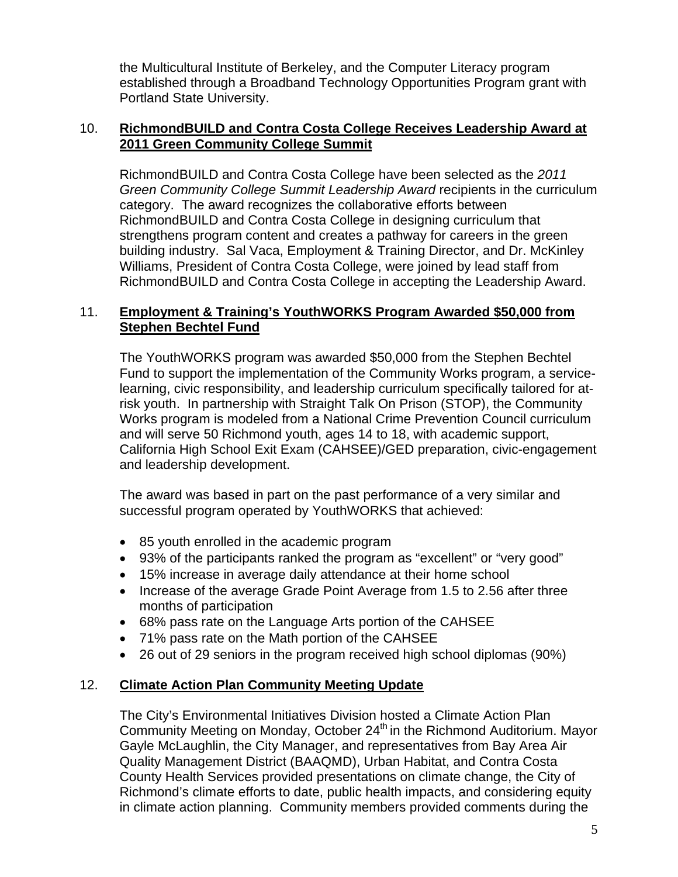the Multicultural Institute of Berkeley, and the Computer Literacy program established through a Broadband Technology Opportunities Program grant with Portland State University.

## 10. **RichmondBUILD and Contra Costa College Receives Leadership Award at 2011 Green Community College Summit**

RichmondBUILD and Contra Costa College have been selected as the *2011 Green Community College Summit Leadership Award* recipients in the curriculum category. The award recognizes the collaborative efforts between RichmondBUILD and Contra Costa College in designing curriculum that strengthens program content and creates a pathway for careers in the green building industry. Sal Vaca, Employment & Training Director, and Dr. McKinley Williams, President of Contra Costa College, were joined by lead staff from RichmondBUILD and Contra Costa College in accepting the Leadership Award.

# 11. **Employment & Training's YouthWORKS Program Awarded \$50,000 from Stephen Bechtel Fund**

The YouthWORKS program was awarded \$50,000 from the Stephen Bechtel Fund to support the implementation of the Community Works program, a servicelearning, civic responsibility, and leadership curriculum specifically tailored for atrisk youth. In partnership with Straight Talk On Prison (STOP), the Community Works program is modeled from a National Crime Prevention Council curriculum and will serve 50 Richmond youth, ages 14 to 18, with academic support, California High School Exit Exam (CAHSEE)/GED preparation, civic-engagement and leadership development.

The award was based in part on the past performance of a very similar and successful program operated by YouthWORKS that achieved:

- 85 youth enrolled in the academic program
- 93% of the participants ranked the program as "excellent" or "very good"
- 15% increase in average daily attendance at their home school
- Increase of the average Grade Point Average from 1.5 to 2.56 after three months of participation
- 68% pass rate on the Language Arts portion of the CAHSEE
- 71% pass rate on the Math portion of the CAHSEE
- 26 out of 29 seniors in the program received high school diplomas (90%)

# 12. **Climate Action Plan Community Meeting Update**

The City's Environmental Initiatives Division hosted a Climate Action Plan Community Meeting on Monday, October 24<sup>th</sup> in the Richmond Auditorium. Mayor Gayle McLaughlin, the City Manager, and representatives from Bay Area Air Quality Management District (BAAQMD), Urban Habitat, and Contra Costa County Health Services provided presentations on climate change, the City of Richmond's climate efforts to date, public health impacts, and considering equity in climate action planning. Community members provided comments during the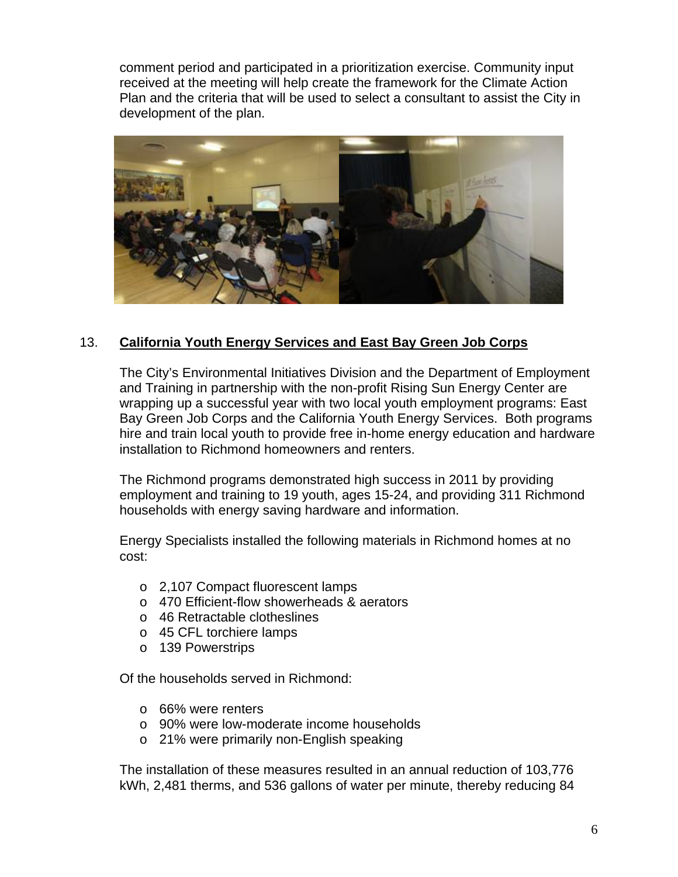comment period and participated in a prioritization exercise. Community input received at the meeting will help create the framework for the Climate Action Plan and the criteria that will be used to select a consultant to assist the City in development of the plan.



## 13. **California Youth Energy Services and East Bay Green Job Corps**

The City's Environmental Initiatives Division and the Department of Employment and Training in partnership with the non-profit Rising Sun Energy Center are wrapping up a successful year with two local youth employment programs: East Bay Green Job Corps and the California Youth Energy Services. Both programs hire and train local youth to provide free in-home energy education and hardware installation to Richmond homeowners and renters.

The Richmond programs demonstrated high success in 2011 by providing employment and training to 19 youth, ages 15-24, and providing 311 Richmond households with energy saving hardware and information.

Energy Specialists installed the following materials in Richmond homes at no cost:

- o 2,107 Compact fluorescent lamps
- o 470 Efficient-flow showerheads & aerators
- o 46 Retractable clotheslines
- o 45 CFL torchiere lamps
- o 139 Powerstrips

Of the households served in Richmond:

- o 66% were renters
- o 90% were low-moderate income households
- o 21% were primarily non-English speaking

The installation of these measures resulted in an annual reduction of 103,776 kWh, 2,481 therms, and 536 gallons of water per minute, thereby reducing 84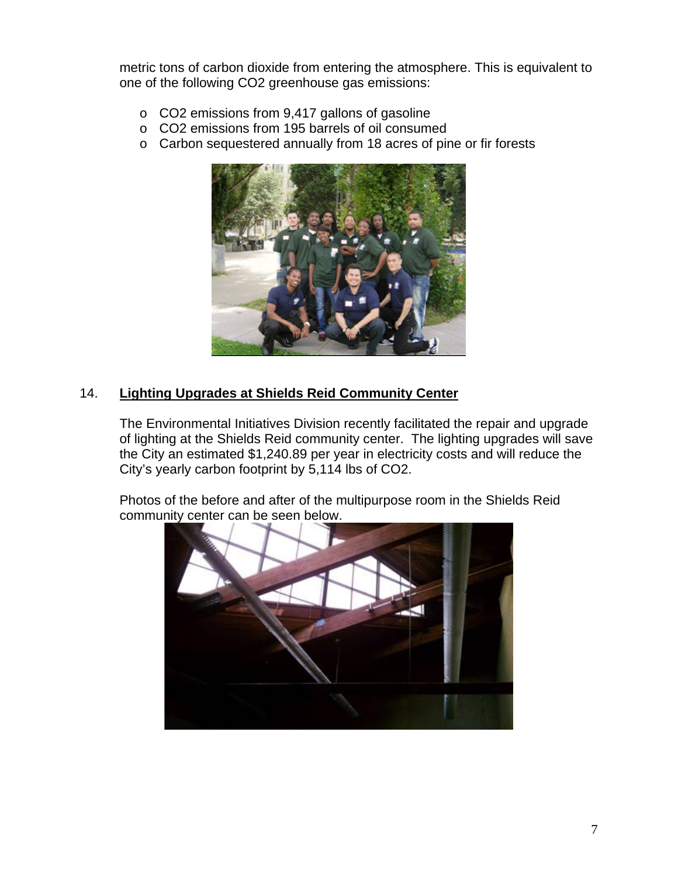metric tons of carbon dioxide from entering the atmosphere. This is equivalent to one of the following CO2 greenhouse gas emissions:

- o CO2 emissions from 9,417 gallons of gasoline
- o CO2 emissions from 195 barrels of oil consumed
- o Carbon sequestered annually from 18 acres of pine or fir forests



# 14. **Lighting Upgrades at Shields Reid Community Center**

The Environmental Initiatives Division recently facilitated the repair and upgrade of lighting at the Shields Reid community center. The lighting upgrades will save the City an estimated \$1,240.89 per year in electricity costs and will reduce the City's yearly carbon footprint by 5,114 lbs of CO2.

Photos of the before and after of the multipurpose room in the Shields Reid community center can be seen below.

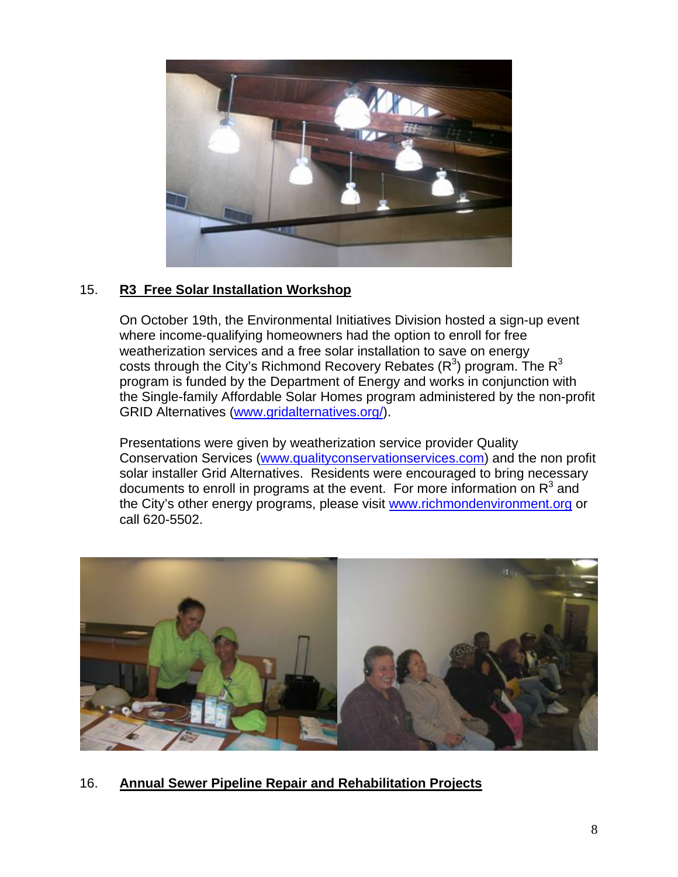

# 15. **R3 Free Solar Installation Workshop**

On October 19th, the Environmental Initiatives Division hosted a sign-up event where income-qualifying homeowners had the option to enroll for free weatherization services and a free solar installation to save on energy costs through the City's Richmond Recovery Rebates (R<sup>3</sup>) program. The R<sup>3</sup> program is funded by the Department of Energy and works in conjunction with the Single-family Affordable Solar Homes program administered by the non-profit GRID Alternatives (www.gridalternatives.org/).

Presentations were given by weatherization service provider Quality Conservation Services (www.qualityconservationservices.com) and the non profit solar installer Grid Alternatives. Residents were encouraged to bring necessary documents to enroll in programs at the event. For more information on  $R^3$  and the City's other energy programs, please visit www.richmondenvironment.org or call 620-5502.



16. **Annual Sewer Pipeline Repair and Rehabilitation Projects**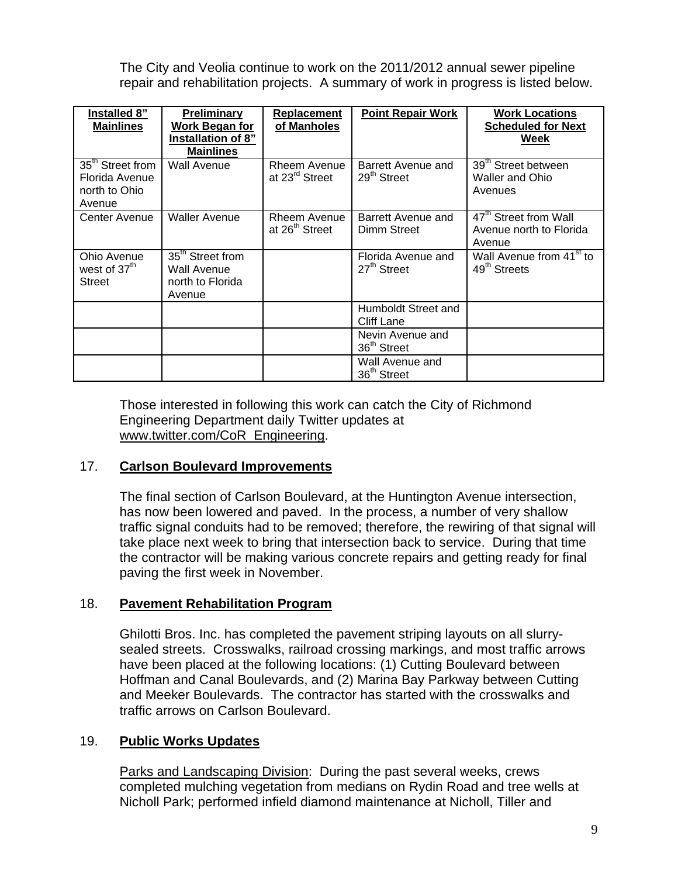The City and Veolia continue to work on the 2011/2012 annual sewer pipeline repair and rehabilitation projects. A summary of work in progress is listed below.

| Installed 8"<br><b>Mainlines</b>                                          | Preliminary<br>Work Began for<br>Installation of 8"<br><b>Mainlines</b>   | Replacement<br>of Manholes                 | <b>Point Repair Work</b>                      | <b>Work Locations</b><br><b>Scheduled for Next</b><br>Week             |
|---------------------------------------------------------------------------|---------------------------------------------------------------------------|--------------------------------------------|-----------------------------------------------|------------------------------------------------------------------------|
| 35 <sup>th</sup> Street from<br>Florida Avenue<br>north to Ohio<br>Avenue | Wall Avenue                                                               | Rheem Avenue<br>at 23 <sup>rd</sup> Street | Barrett Avenue and<br>$29th$ Street           | 39 <sup>th</sup> Street between<br><b>Waller and Ohio</b><br>Avenues   |
| Center Avenue                                                             | <b>Waller Avenue</b>                                                      | Rheem Avenue<br>at 26 <sup>th</sup> Street | Barrett Avenue and<br>Dimm Street             | 47 <sup>th</sup> Street from Wall<br>Avenue north to Florida<br>Avenue |
| Ohio Avenue<br>west of 37 <sup>th</sup><br>Street                         | 35 <sup>th</sup> Street from<br>Wall Avenue<br>north to Florida<br>Avenue |                                            | Florida Avenue and<br>27 <sup>th</sup> Street | Wall Avenue from 41 <sup>st</sup> to<br>$49th$ Streets                 |
|                                                                           |                                                                           |                                            | Humboldt Street and<br>Cliff Lane             |                                                                        |
|                                                                           |                                                                           |                                            | Nevin Avenue and<br>36 <sup>th</sup> Street   |                                                                        |
|                                                                           |                                                                           |                                            | Wall Avenue and<br>36 <sup>th</sup> Street    |                                                                        |

Those interested in following this work can catch the City of Richmond Engineering Department daily Twitter updates at www.twitter.com/CoR\_Engineering.

## 17. **Carlson Boulevard Improvements**

The final section of Carlson Boulevard, at the Huntington Avenue intersection, has now been lowered and paved. In the process, a number of very shallow traffic signal conduits had to be removed; therefore, the rewiring of that signal will take place next week to bring that intersection back to service. During that time the contractor will be making various concrete repairs and getting ready for final paving the first week in November.

## 18. **Pavement Rehabilitation Program**

Ghilotti Bros. Inc. has completed the pavement striping layouts on all slurrysealed streets. Crosswalks, railroad crossing markings, and most traffic arrows have been placed at the following locations: (1) Cutting Boulevard between Hoffman and Canal Boulevards, and (2) Marina Bay Parkway between Cutting and Meeker Boulevards. The contractor has started with the crosswalks and traffic arrows on Carlson Boulevard.

## 19. **Public Works Updates**

Parks and Landscaping Division: During the past several weeks, crews completed mulching vegetation from medians on Rydin Road and tree wells at Nicholl Park; performed infield diamond maintenance at Nicholl, Tiller and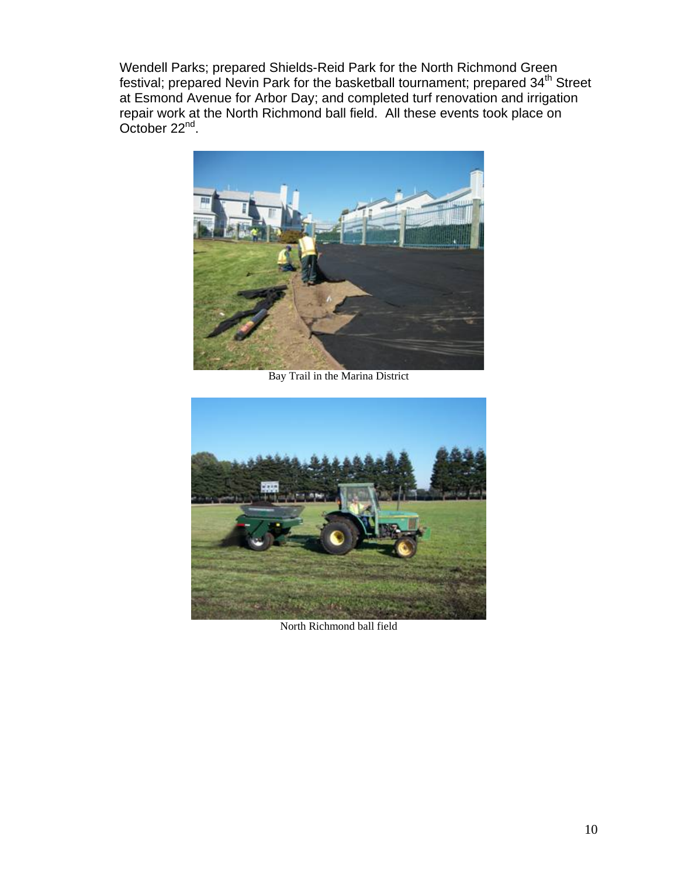Wendell Parks; prepared Shields-Reid Park for the North Richmond Green festival; prepared Nevin Park for the basketball tournament; prepared 34<sup>th</sup> Street at Esmond Avenue for Arbor Day; and completed turf renovation and irrigation repair work at the North Richmond ball field. All these events took place on October 22nd.



Bay Trail in the Marina District



North Richmond ball field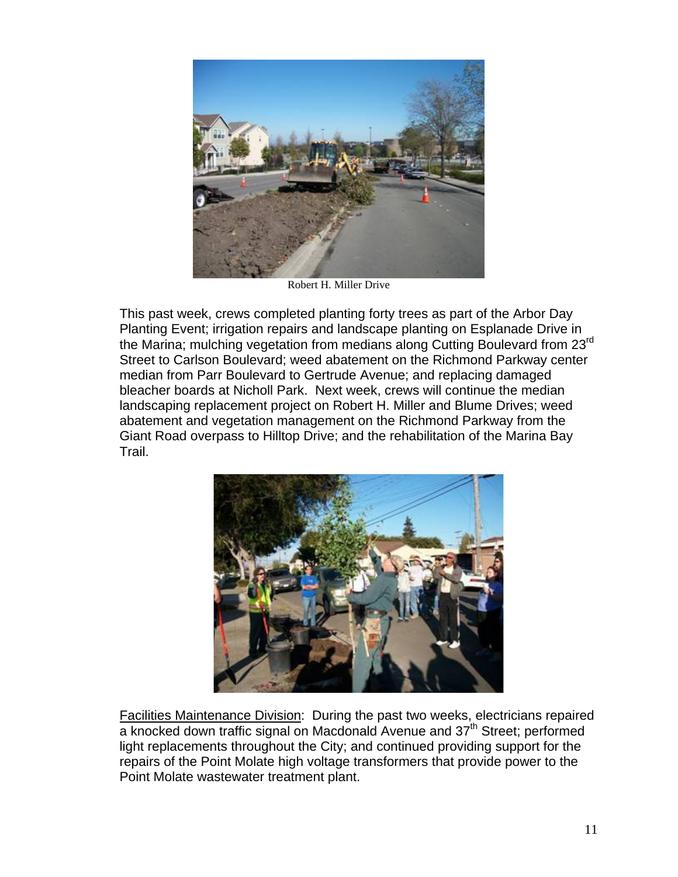

Robert H. Miller Drive

This past week, crews completed planting forty trees as part of the Arbor Day Planting Event; irrigation repairs and landscape planting on Esplanade Drive in the Marina; mulching vegetation from medians along Cutting Boulevard from 23<sup>rd</sup> Street to Carlson Boulevard; weed abatement on the Richmond Parkway center median from Parr Boulevard to Gertrude Avenue; and replacing damaged bleacher boards at Nicholl Park. Next week, crews will continue the median landscaping replacement project on Robert H. Miller and Blume Drives; weed abatement and vegetation management on the Richmond Parkway from the Giant Road overpass to Hilltop Drive; and the rehabilitation of the Marina Bay Trail.



Facilities Maintenance Division: During the past two weeks, electricians repaired a knocked down traffic signal on Macdonald Avenue and 37<sup>th</sup> Street; performed light replacements throughout the City; and continued providing support for the repairs of the Point Molate high voltage transformers that provide power to the Point Molate wastewater treatment plant.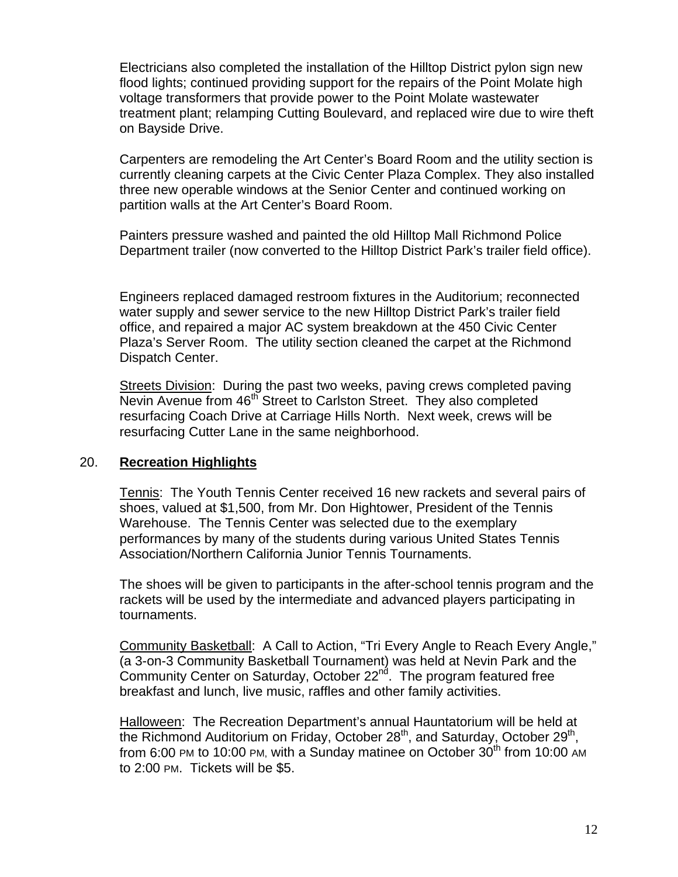Electricians also completed the installation of the Hilltop District pylon sign new flood lights; continued providing support for the repairs of the Point Molate high voltage transformers that provide power to the Point Molate wastewater treatment plant; relamping Cutting Boulevard, and replaced wire due to wire theft on Bayside Drive.

Carpenters are remodeling the Art Center's Board Room and the utility section is currently cleaning carpets at the Civic Center Plaza Complex. They also installed three new operable windows at the Senior Center and continued working on partition walls at the Art Center's Board Room.

Painters pressure washed and painted the old Hilltop Mall Richmond Police Department trailer (now converted to the Hilltop District Park's trailer field office).

Engineers replaced damaged restroom fixtures in the Auditorium; reconnected water supply and sewer service to the new Hilltop District Park's trailer field office, and repaired a major AC system breakdown at the 450 Civic Center Plaza's Server Room. The utility section cleaned the carpet at the Richmond Dispatch Center.

Streets Division: During the past two weeks, paving crews completed paving Nevin Avenue from 46<sup>th</sup> Street to Carlston Street. They also completed resurfacing Coach Drive at Carriage Hills North. Next week, crews will be resurfacing Cutter Lane in the same neighborhood.

#### 20. **Recreation Highlights**

Tennis: The Youth Tennis Center received 16 new rackets and several pairs of shoes, valued at \$1,500, from Mr. Don Hightower, President of the Tennis Warehouse. The Tennis Center was selected due to the exemplary performances by many of the students during various United States Tennis Association/Northern California Junior Tennis Tournaments.

The shoes will be given to participants in the after-school tennis program and the rackets will be used by the intermediate and advanced players participating in tournaments.

Community Basketball: A Call to Action, "Tri Every Angle to Reach Every Angle," (a 3-on-3 Community Basketball Tournament) was held at Nevin Park and the Community Center on Saturday, October  $22<sup>nd</sup>$ . The program featured free breakfast and lunch, live music, raffles and other family activities.

Halloween: The Recreation Department's annual Hauntatorium will be held at the Richmond Auditorium on Friday, October  $28<sup>th</sup>$ , and Saturday, October  $29<sup>th</sup>$ , from 6:00 PM to 10:00 PM, with a Sunday matinee on October  $30<sup>th</sup>$  from 10:00 AM to 2:00 PM. Tickets will be \$5.